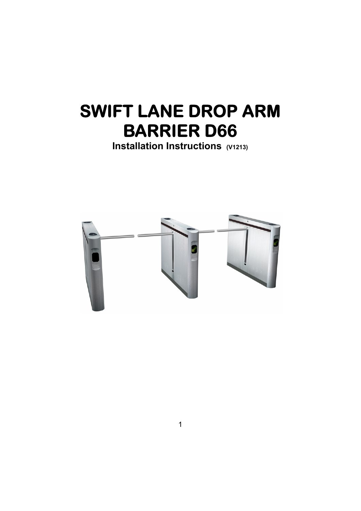# **SWIFT LANE DROP ARM BARRIER D66**

**Installation Instructions (V1213)** 

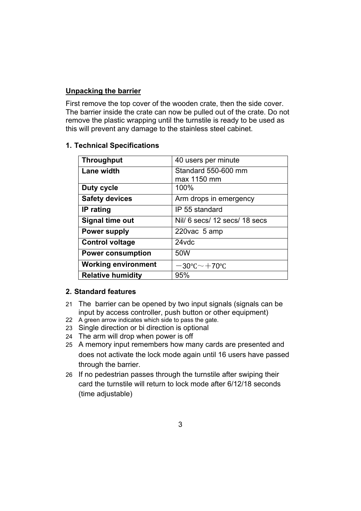# **Unpacking the barrier**

First remove the top cover of the wooden crate, then the side cover. The barrier inside the crate can now be pulled out of the crate. Do not remove the plastic wrapping until the turnstile is ready to be used as this will prevent any damage to the stainless steel cabinet.

# **1. Technical Specifications**

| <b>Throughput</b>          | 40 users per minute                    |
|----------------------------|----------------------------------------|
| Lane width                 | Standard 550-600 mm                    |
|                            | max 1150 mm                            |
| Duty cycle                 | 100%                                   |
| <b>Safety devices</b>      | Arm drops in emergency                 |
| IP rating                  | IP 55 standard                         |
| Signal time out            | Nill 6 secs/ 12 secs/ 18 secs          |
| <b>Power supply</b>        | 220vac 5 amp                           |
| <b>Control voltage</b>     | 24vdc                                  |
| <b>Power consumption</b>   | 50W                                    |
| <b>Working environment</b> | $-30^{\circ}$ C $\sim$ $+70^{\circ}$ C |
| <b>Relative humidity</b>   | 95%                                    |

#### **2. Standard features**

- 21 The barrier can be opened by two input signals (signals can be input by access controller, push button or other equipment)
- 22 A green arrow indicates which side to pass the gate.
- 23 Single direction or bi direction is optional
- 24 The arm will drop when power is off
- 25 A memory input remembers how many cards are presented and does not activate the lock mode again until 16 users have passed through the barrier.
- 26 If no pedestrian passes through the turnstile after swiping their card the turnstile will return to lock mode after 6/12/18 seconds (time adjustable)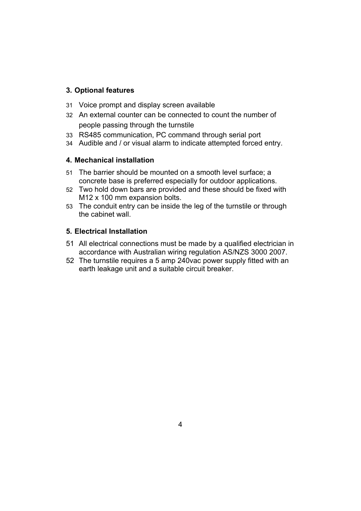# **3. Optional features**

- 31 Voice prompt and display screen available
- 32 An external counter can be connected to count the number of people passing through the turnstile
- 33 RS485 communication, PC command through serial port
- 34 Audible and / or visual alarm to indicate attempted forced entry.

# **4. Mechanical installation**

- 51 The barrier should be mounted on a smooth level surface; a concrete base is preferred especially for outdoor applications.
- 52 Two hold down bars are provided and these should be fixed with M12 x 100 mm expansion bolts.
- 53 The conduit entry can be inside the leg of the turnstile or through the cabinet wall.

# **5. Electrical Installation**

- 51 All electrical connections must be made by a qualified electrician in accordance with Australian wiring regulation AS/NZS 3000 2007.
- 52 The turnstile requires a 5 amp 240vac power supply fitted with an earth leakage unit and a suitable circuit breaker.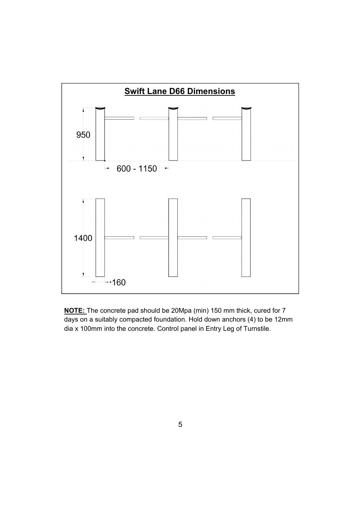

**NOTE:** The concrete pad should be 20Mpa (min) 150 mm thick, cured for 7 days on a suitably compacted foundation. Hold down anchors (4) to be 12mm dia x 100mm into the concrete. Control panel in Entry Leg of Turnstile.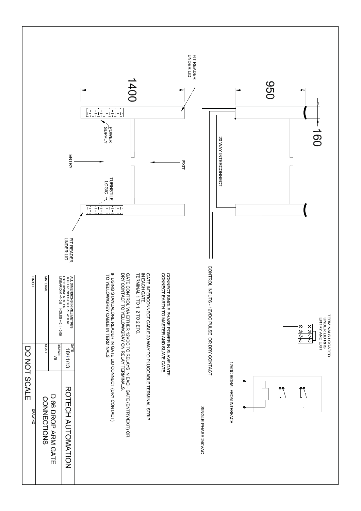![](_page_4_Figure_0.jpeg)